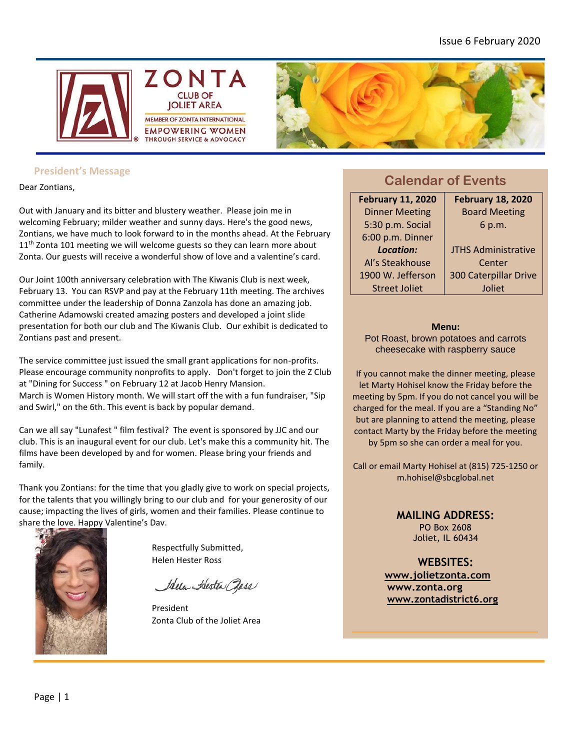



### **President's Message**

Dear Zontians,

Out with January and its bitter and blustery weather. Please join me in welcoming February; milder weather and sunny days. Here's the good news, Zontians, we have much to look forward to in the months ahead. At the February 11<sup>th</sup> Zonta 101 meeting we will welcome guests so they can learn more about Zonta. Our guests will receive a wonderful show of love and a valentine's card.

Our Joint 100th anniversary celebration with The Kiwanis Club is next week, February 13. You can RSVP and pay at the February 11th meeting. The archives committee under the leadership of Donna Zanzola has done an amazing job. Catherine Adamowski created amazing posters and developed a joint slide presentation for both our club and The Kiwanis Club. Our exhibit is dedicated to Zontians past and present.

The service committee just issued the small grant applications for non-profits. Please encourage community nonprofits to apply. Don't forget to join the Z Club at "Dining for Success " on February 12 at Jacob Henry Mansion. March is Women History month. We will start off the with a fun fundraiser, "Sip and Swirl," on the 6th. This event is back by popular demand.

Can we all say "Lunafest " film festival? The event is sponsored by JJC and our club. This is an inaugural event for our club. Let's make this a community hit. The films have been developed by and for women. Please bring your friends and family.

Thank you Zontians: for the time that you gladly give to work on special projects, for the talents that you willingly bring to our club and for your generosity of our cause; impacting the lives of girls, women and their families. Please continue to share the love. Happy Valentine's Day.



Respectfully Submitted, Helen Hester Ross

Idela Alesten Pass

President Zonta Club of the Joliet Area

### **Calendar of Events**

| <b>February 11, 2020</b> | <b>February 18, 2020</b>     |
|--------------------------|------------------------------|
| <b>Dinner Meeting</b>    | <b>Board Meeting</b>         |
| 5:30 p.m. Social         | 6 p.m.                       |
| 6:00 p.m. Dinner         |                              |
| Location:                | <b>JTHS Administrative</b>   |
| Al's Steakhouse          | Center                       |
| 1900 W. Jefferson        | <b>300 Caterpillar Drive</b> |
| <b>Street Joliet</b>     | Joliet                       |

#### **Menu:**

Pot Roast, brown potatoes and carrots cheesecake with raspberry sauce

If you cannot make the dinner meeting, please let Marty Hohisel know the Friday before the meeting by 5pm. If you do not cancel you will be charged for the meal. If you are a "Standing No" but are planning to attend the meeting, please contact Marty by the Friday before the meeting by 5pm so she can order a meal for you.

Call or email Marty Hohisel at (815) 725-1250 or m.hohisel@sbcglobal.net

#### **MAILING ADDRESS:**

PO Box 2608 Joliet, IL 60434

**WEBSITES:**

**[www.jolietzonta.com](http://www.jolietzonta.com/) [www.zonta.org](http://www.zonta.org/) [www.zontadistrict6.org](http://www.zontadistrict6.org/)**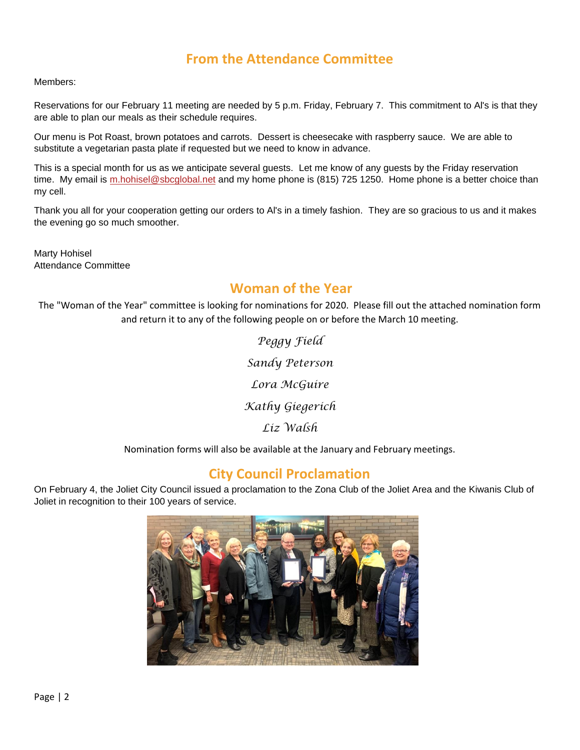### **From the Attendance Committee**

Members:

Reservations for our February 11 meeting are needed by 5 p.m. Friday, February 7. This commitment to Al's is that they are able to plan our meals as their schedule requires.

Our menu is Pot Roast, brown potatoes and carrots. Dessert is cheesecake with raspberry sauce. We are able to substitute a vegetarian pasta plate if requested but we need to know in advance.

This is a special month for us as we anticipate several guests. Let me know of any guests by the Friday reservation time. My email is [m.hohisel@sbcglobal.net](mailto:m.hohisel@sbcglobal.net) and my home phone is (815) 725 1250. Home phone is a better choice than my cell.

Thank you all for your cooperation getting our orders to Al's in a timely fashion. They are so gracious to us and it makes the evening go so much smoother.

Marty Hohisel Attendance Committee

### **Woman of the Year**

The "Woman of the Year" committee is looking for nominations for 2020. Please fill out the attached nomination form and return it to any of the following people on or before the March 10 meeting.

> *Peggy Field Sandy Peterson Lora McGuire Kathy Giegerich Liz Walsh*

Nomination forms will also be available at the January and February meetings.

### **City Council Proclamation**

On February 4, the Joliet City Council issued a proclamation to the Zona Club of the Joliet Area and the Kiwanis Club of Joliet in recognition to their 100 years of service.

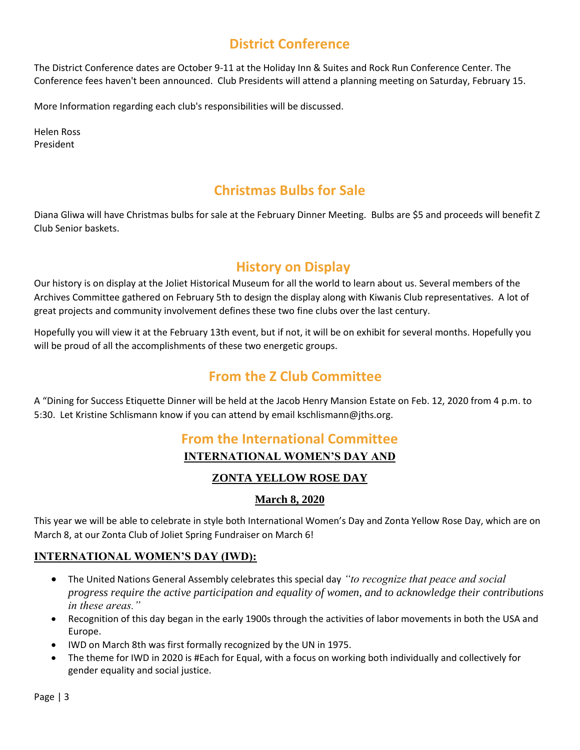# **District Conference**

The District Conference dates are October 9-11 at the Holiday Inn & Suites and Rock Run Conference Center. The Conference fees haven't been announced. Club Presidents will attend a planning meeting on Saturday, February 15.

More Information regarding each club's responsibilities will be discussed.

Helen Ross President

# **Christmas Bulbs for Sale**

Diana Gliwa will have Christmas bulbs for sale at the February Dinner Meeting. Bulbs are \$5 and proceeds will benefit Z Club Senior baskets.

# **History on Display**

Our history is on display at the Joliet Historical Museum for all the world to learn about us. Several members of the Archives Committee gathered on February 5th to design the display along with Kiwanis Club representatives. A lot of great projects and community involvement defines these two fine clubs over the last century.

Hopefully you will view it at the February 13th event, but if not, it will be on exhibit for several months. Hopefully you will be proud of all the accomplishments of these two energetic groups.

### **From the Z Club Committee**

A "Dining for Success Etiquette Dinner will be held at the Jacob Henry Mansion Estate on Feb. 12, 2020 from 4 p.m. to 5:30. Let Kristine Schlismann know if you can attend by email kschlismann@jths.org.

### **From the International Committee INTERNATIONAL WOMEN'S DAY AND**

### **ZONTA YELLOW ROSE DAY**

### **March 8, 2020**

This year we will be able to celebrate in style both International Women's Day and Zonta Yellow Rose Day, which are on March 8, at our Zonta Club of Joliet Spring Fundraiser on March 6!

### **INTERNATIONAL WOMEN'S DAY (IWD):**

- The United Nations General Assembly celebrates this special day *"to recognize that peace and social progress require the active participation and equality of women, and to acknowledge their contributions in these areas."*
- Recognition of this day began in the early 1900s through the activities of labor movements in both the USA and Europe.
- IWD on March 8th was first formally recognized by the UN in 1975.
- The theme for IWD in 2020 is #Each for Equal, with a focus on working both individually and collectively for gender equality and social justice.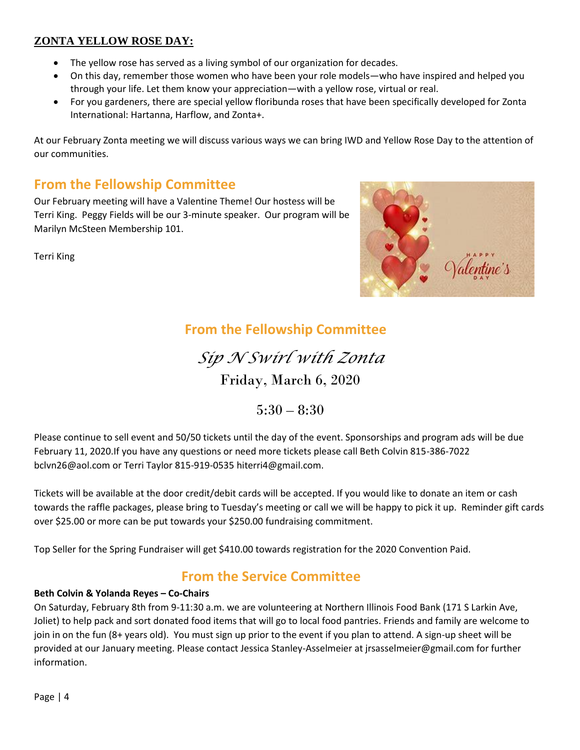### **ZONTA YELLOW ROSE DAY:**

- The yellow rose has served as a living symbol of our organization for decades.
- On this day, remember those women who have been your role models—who have inspired and helped you through your life. Let them know your appreciation—with a yellow rose, virtual or real.
- For you gardeners, there are special yellow floribunda roses that have been specifically developed for Zonta International: Hartanna, Harflow, and Zonta+.

At our February Zonta meeting we will discuss various ways we can bring IWD and Yellow Rose Day to the attention of our communities.

### **From the Fellowship Committee**

Our February meeting will have a Valentine Theme! Our hostess will be Terri King. Peggy Fields will be our 3-minute speaker. Our program will be Marilyn McSteen Membership 101.

Terri King



### **From the Fellowship Committee**

*Sip N Swirl with Zonta*  Friday, March 6, 2020

 $5:30 - 8:30$ 

Please continue to sell event and 50/50 tickets until the day of the event. Sponsorships and program ads will be due February 11, 2020.If you have any questions or need more tickets please call Beth Colvin 815-386-7022 [bclvn26@aol.com](mailto:bclvn26@aol.com) or Terri Taylor 815-919-053[5 hiterri4@gmail.com.](mailto:hiterri4@gmail.com)

Tickets will be available at the door credit/debit cards will be accepted. If you would like to donate an item or cash towards the raffle packages, please bring to Tuesday's meeting or call we will be happy to pick it up. Reminder gift cards over \$25.00 or more can be put towards your \$250.00 fundraising commitment.

Top Seller for the Spring Fundraiser will get \$410.00 towards registration for the 2020 Convention Paid.

# **From the Service Committee**

### **Beth Colvin & Yolanda Reyes – Co-Chairs**

On Saturday, February 8th from 9-11:30 a.m. we are volunteering at Northern Illinois Food Bank (171 S Larkin Ave, Joliet) to help pack and sort donated food items that will go to local food pantries. Friends and family are welcome to join in on the fun (8+ years old). You must sign up prior to the event if you plan to attend. A sign-up sheet will be provided at our January meeting. Please contact Jessica Stanley-Asselmeier at jrsasselmeier@gmail.com for further information.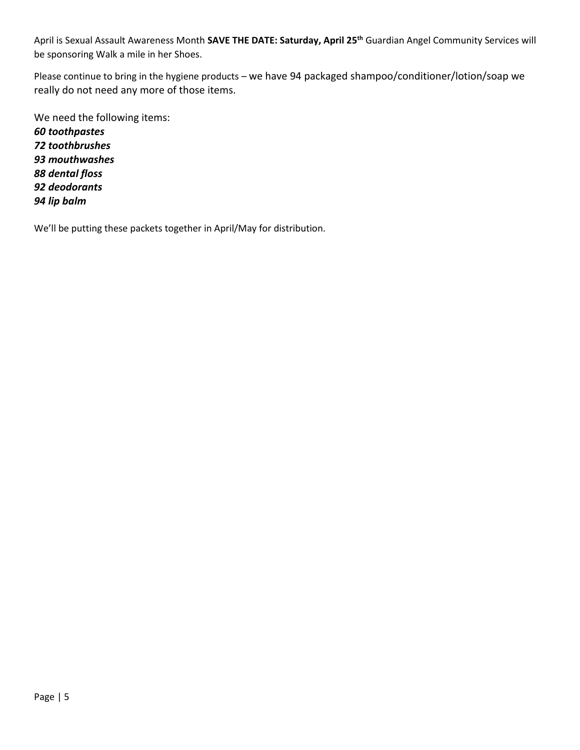April is Sexual Assault Awareness Month **SAVE THE DATE: Saturday, April 25th** Guardian Angel Community Services will be sponsoring Walk a mile in her Shoes.

Please continue to bring in the hygiene products – we have 94 packaged shampoo/conditioner/lotion/soap we really do not need any more of those items.

We need the following items:

*60 toothpastes 72 toothbrushes 93 mouthwashes 88 dental floss 92 deodorants 94 lip balm*

We'll be putting these packets together in April/May for distribution.